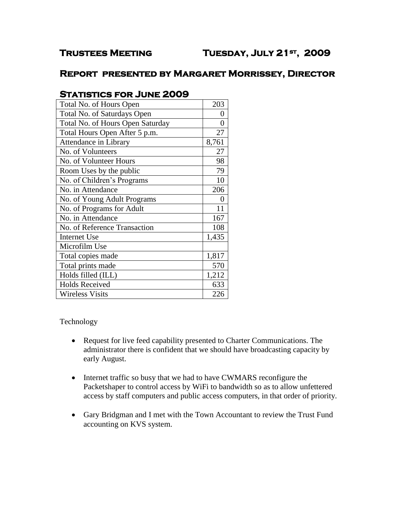## **Report presented by Margaret Morrissey, Director**

# **Statistics for June 2009**

| Total No. of Hours Open          | 203   |
|----------------------------------|-------|
| Total No. of Saturdays Open      | ( )   |
| Total No. of Hours Open Saturday | 0     |
| Total Hours Open After 5 p.m.    | 27    |
| Attendance in Library            | 8,761 |
| No. of Volunteers                | 27    |
| No. of Volunteer Hours           | 98    |
| Room Uses by the public          | 79    |
| No. of Children's Programs       | 10    |
| No. in Attendance                | 206   |
| No. of Young Adult Programs      | 0     |
| No. of Programs for Adult        | 11    |
| No. in Attendance                | 167   |
| No. of Reference Transaction     | 108   |
| <b>Internet Use</b>              | 1,435 |
| Microfilm Use                    |       |
| Total copies made                | 1,817 |
| Total prints made                | 570   |
| Holds filled (ILL)               | 1,212 |
| <b>Holds Received</b>            | 633   |
| <b>Wireless Visits</b>           | 226   |

Technology

- Request for live feed capability presented to Charter Communications. The administrator there is confident that we should have broadcasting capacity by early August.
- Internet traffic so busy that we had to have CWMARS reconfigure the Packetshaper to control access by WiFi to bandwidth so as to allow unfettered access by staff computers and public access computers, in that order of priority.
- Gary Bridgman and I met with the Town Accountant to review the Trust Fund accounting on KVS system.